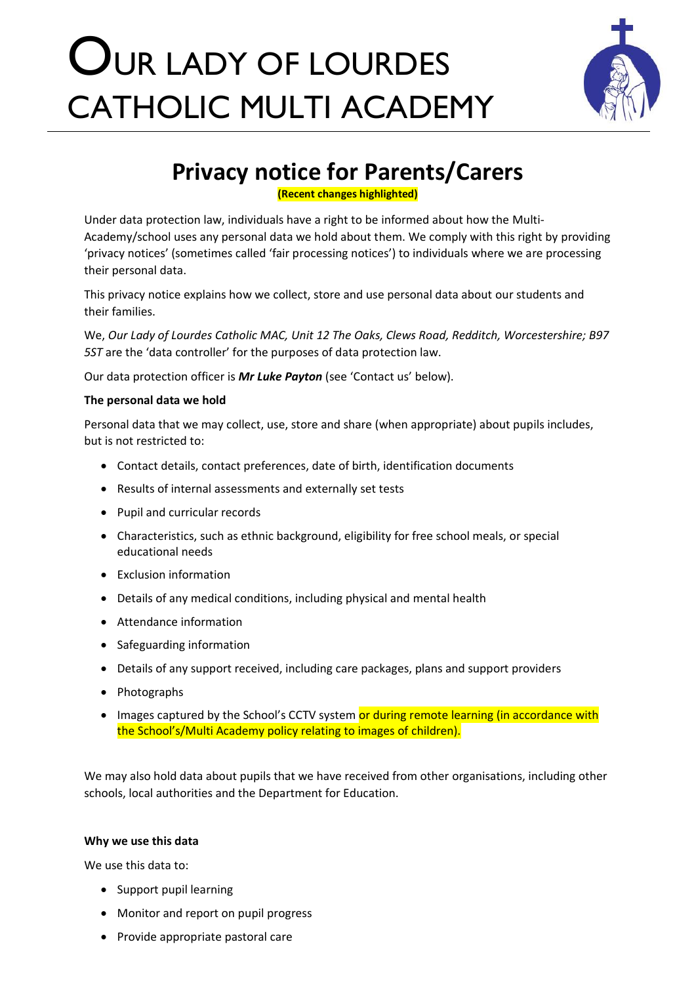# OUR LADY OF LOURDES CATHOLIC MULTI ACADEMY



# **Privacy notice for Parents/Carers**

**(Recent changes highlighted)**

Under data protection law, individuals have a right to be informed about how the Multi-Academy/school uses any personal data we hold about them. We comply with this right by providing 'privacy notices' (sometimes called 'fair processing notices') to individuals where we are processing their personal data.

This privacy notice explains how we collect, store and use personal data about our students and their families.

We, *Our Lady of Lourdes Catholic MAC, Unit 12 The Oaks, Clews Road, Redditch, Worcestershire; B97 5ST* are the 'data controller' for the purposes of data protection law.

Our data protection officer is *Mr Luke Payton* (see 'Contact us' below).

# **The personal data we hold**

Personal data that we may collect, use, store and share (when appropriate) about pupils includes, but is not restricted to:

- Contact details, contact preferences, date of birth, identification documents
- Results of internal assessments and externally set tests
- Pupil and curricular records
- Characteristics, such as ethnic background, eligibility for free school meals, or special educational needs
- Exclusion information
- Details of any medical conditions, including physical and mental health
- Attendance information
- Safeguarding information
- Details of any support received, including care packages, plans and support providers
- Photographs
- Images captured by the School's CCTV system or during remote learning (in accordance with the School's/Multi Academy policy relating to images of children).

We may also hold data about pupils that we have received from other organisations, including other schools, local authorities and the Department for Education.

# **Why we use this data**

We use this data to:

- Support pupil learning
- Monitor and report on pupil progress
- Provide appropriate pastoral care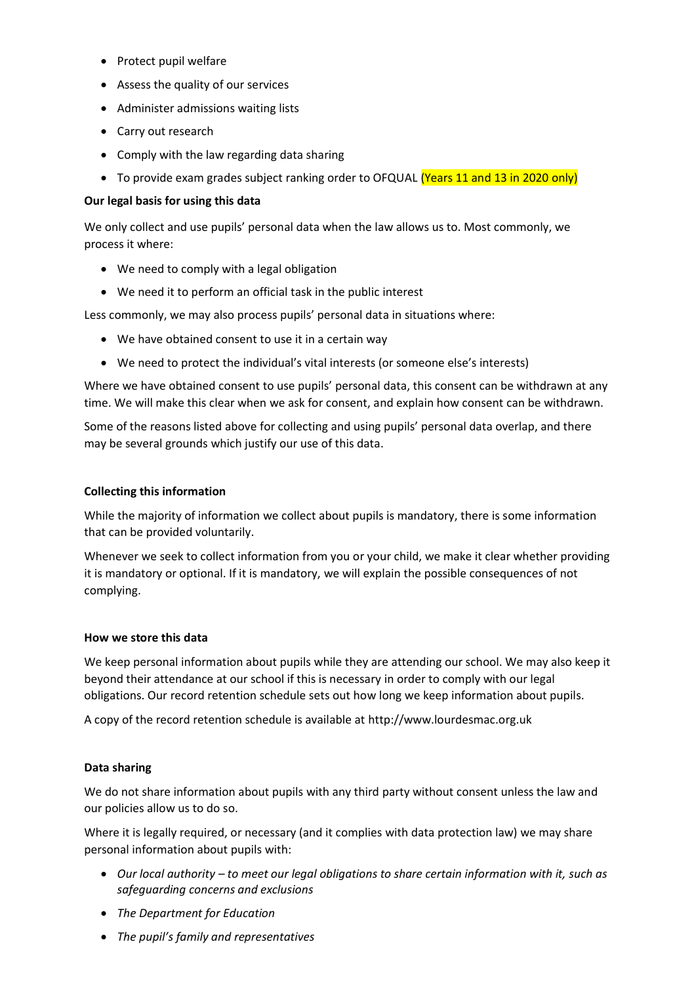- Protect pupil welfare
- Assess the quality of our services
- Administer admissions waiting lists
- Carry out research
- Comply with the law regarding data sharing
- To provide exam grades subject ranking order to OFQUAL (Years 11 and 13 in 2020 only)

# **Our legal basis for using this data**

We only collect and use pupils' personal data when the law allows us to. Most commonly, we process it where:

- We need to comply with a legal obligation
- We need it to perform an official task in the public interest

Less commonly, we may also process pupils' personal data in situations where:

- We have obtained consent to use it in a certain way
- We need to protect the individual's vital interests (or someone else's interests)

Where we have obtained consent to use pupils' personal data, this consent can be withdrawn at any time. We will make this clear when we ask for consent, and explain how consent can be withdrawn.

Some of the reasons listed above for collecting and using pupils' personal data overlap, and there may be several grounds which justify our use of this data.

### **Collecting this information**

While the majority of information we collect about pupils is mandatory, there is some information that can be provided voluntarily.

Whenever we seek to collect information from you or your child, we make it clear whether providing it is mandatory or optional. If it is mandatory, we will explain the possible consequences of not complying.

# **How we store this data**

We keep personal information about pupils while they are attending our school. We may also keep it beyond their attendance at our school if this is necessary in order to comply with our legal obligations. Our record retention schedule sets out how long we keep information about pupils.

A copy of the record retention schedule is available at http://www.lourdesmac.org.uk

# **Data sharing**

We do not share information about pupils with any third party without consent unless the law and our policies allow us to do so.

Where it is legally required, or necessary (and it complies with data protection law) we may share personal information about pupils with:

- *Our local authority – to meet our legal obligations to share certain information with it, such as safeguarding concerns and exclusions*
- *The Department for Education*
- *The pupil's family and representatives*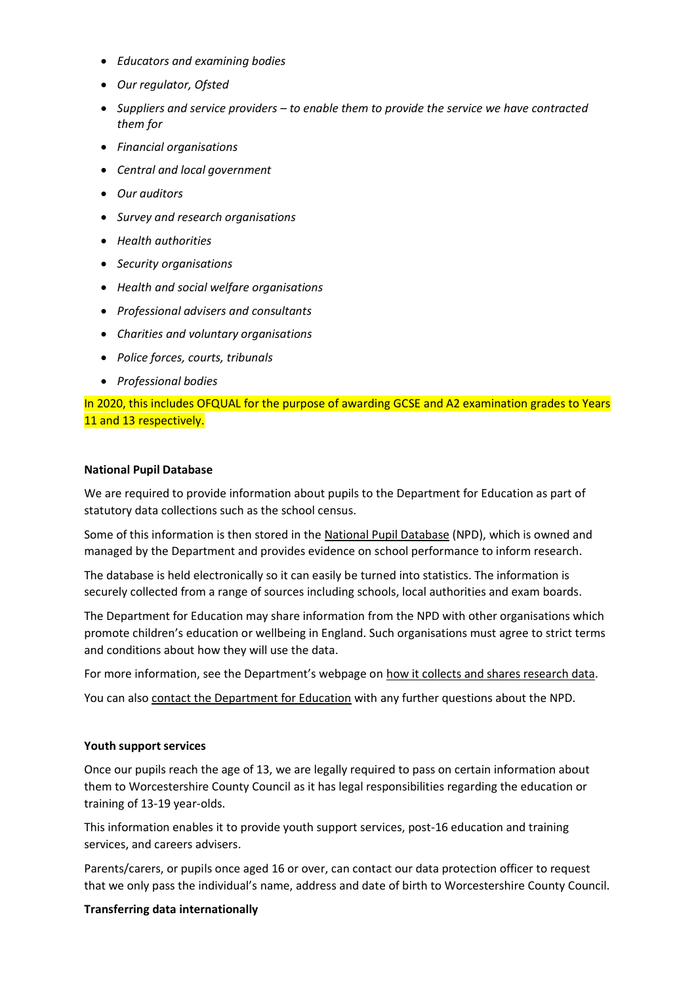- *Educators and examining bodies*
- *Our regulator, Ofsted*
- *Suppliers and service providers – to enable them to provide the service we have contracted them for*
- *Financial organisations*
- *Central and local government*
- *Our auditors*
- *Survey and research organisations*
- *Health authorities*
- *Security organisations*
- *Health and social welfare organisations*
- *Professional advisers and consultants*
- *Charities and voluntary organisations*
- *Police forces, courts, tribunals*
- *Professional bodies*

In 2020, this includes OFQUAL for the purpose of awarding GCSE and A2 examination grades to Years 11 and 13 respectively.

#### **National Pupil Database**

We are required to provide information about pupils to the Department for Education as part of statutory data collections such as the school census.

Some of this information is then stored in the [National Pupil Database](https://www.gov.uk/government/publications/national-pupil-database-user-guide-and-supporting-information) (NPD), which is owned and managed by the Department and provides evidence on school performance to inform research.

The database is held electronically so it can easily be turned into statistics. The information is securely collected from a range of sources including schools, local authorities and exam boards.

The Department for Education may share information from the NPD with other organisations which promote children's education or wellbeing in England. Such organisations must agree to strict terms and conditions about how they will use the data.

For more information, see the Department's webpage on [how it collects and shares research data.](https://www.gov.uk/data-protection-how-we-collect-and-share-research-data)

You can also [contact the Department for Education](https://www.gov.uk/contact-dfe) with any further questions about the NPD.

#### **Youth support services**

Once our pupils reach the age of 13, we are legally required to pass on certain information about them to Worcestershire County Council as it has legal responsibilities regarding the education or training of 13-19 year-olds.

This information enables it to provide youth support services, post-16 education and training services, and careers advisers.

Parents/carers, or pupils once aged 16 or over, can contact our data protection officer to request that we only pass the individual's name, address and date of birth to Worcestershire County Council.

#### **Transferring data internationally**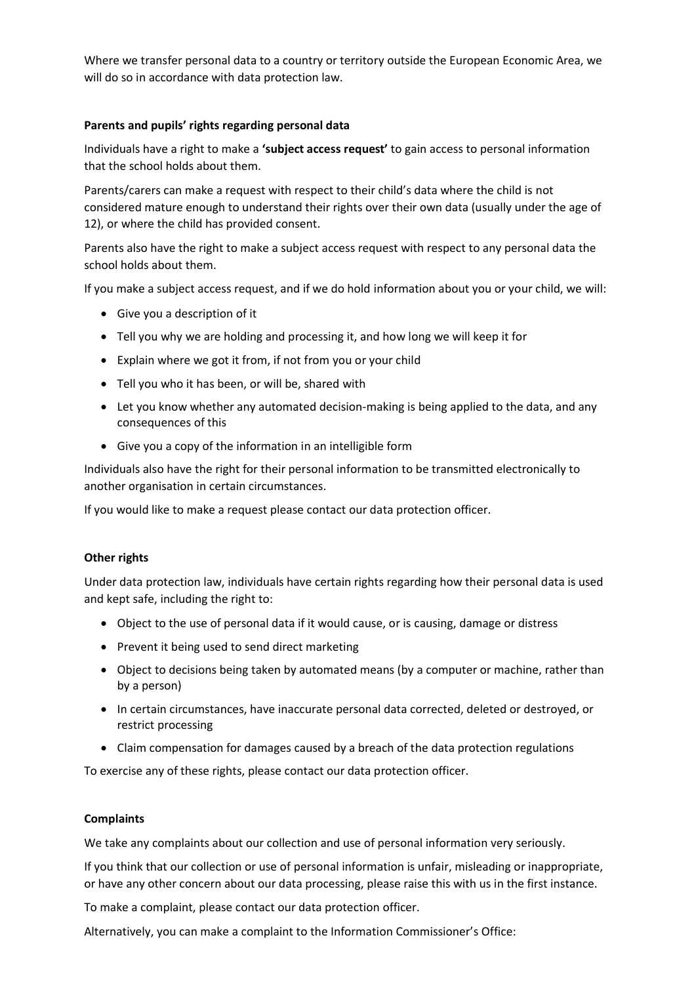Where we transfer personal data to a country or territory outside the European Economic Area, we will do so in accordance with data protection law.

# **Parents and pupils' rights regarding personal data**

Individuals have a right to make a **'subject access request'** to gain access to personal information that the school holds about them.

Parents/carers can make a request with respect to their child's data where the child is not considered mature enough to understand their rights over their own data (usually under the age of 12), or where the child has provided consent.

Parents also have the right to make a subject access request with respect to any personal data the school holds about them.

If you make a subject access request, and if we do hold information about you or your child, we will:

- Give you a description of it
- Tell you why we are holding and processing it, and how long we will keep it for
- Explain where we got it from, if not from you or your child
- Tell you who it has been, or will be, shared with
- Let you know whether any automated decision-making is being applied to the data, and any consequences of this
- Give you a copy of the information in an intelligible form

Individuals also have the right for their personal information to be transmitted electronically to another organisation in certain circumstances.

If you would like to make a request please contact our data protection officer.

# **Other rights**

Under data protection law, individuals have certain rights regarding how their personal data is used and kept safe, including the right to:

- Object to the use of personal data if it would cause, or is causing, damage or distress
- Prevent it being used to send direct marketing
- Object to decisions being taken by automated means (by a computer or machine, rather than by a person)
- In certain circumstances, have inaccurate personal data corrected, deleted or destroyed, or restrict processing
- Claim compensation for damages caused by a breach of the data protection regulations

To exercise any of these rights, please contact our data protection officer.

# **Complaints**

We take any complaints about our collection and use of personal information very seriously.

If you think that our collection or use of personal information is unfair, misleading or inappropriate, or have any other concern about our data processing, please raise this with us in the first instance.

To make a complaint, please contact our data protection officer.

Alternatively, you can make a complaint to the Information Commissioner's Office: